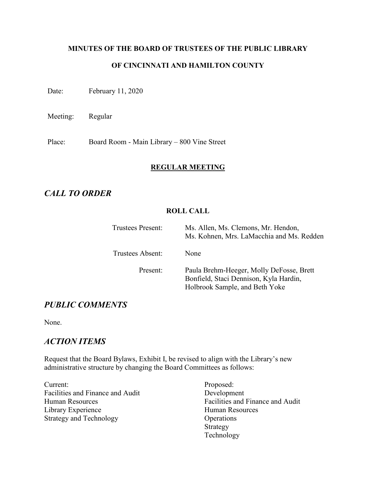# **MINUTES OF THE BOARD OF TRUSTEES OF THE PUBLIC LIBRARY OF CINCINNATI AND HAMILTON COUNTY**

Date: February 11, 2020

Meeting: Regular

Place: Board Room - Main Library – 800 Vine Street

### **REGULAR MEETING**

# *CALL TO ORDER*

# **ROLL CALL**

| Trustees Present: | Ms. Allen, Ms. Clemons, Mr. Hendon,<br>Ms. Kohnen, Mrs. LaMacchia and Ms. Redden                                     |
|-------------------|----------------------------------------------------------------------------------------------------------------------|
| Trustees Absent:  | None                                                                                                                 |
| Present:          | Paula Brehm-Heeger, Molly DeFosse, Brett<br>Bonfield, Staci Dennison, Kyla Hardin,<br>Holbrook Sample, and Beth Yoke |

# *PUBLIC COMMENTS*

None.

# *ACTION ITEMS*

Request that the Board Bylaws, Exhibit I, be revised to align with the Library's new administrative structure by changing the Board Committees as follows:

Current: Facilities and Finance and Audit Human Resources Library Experience Strategy and Technology

Proposed: Development Facilities and Finance and Audit Human Resources **Operations** Strategy Technology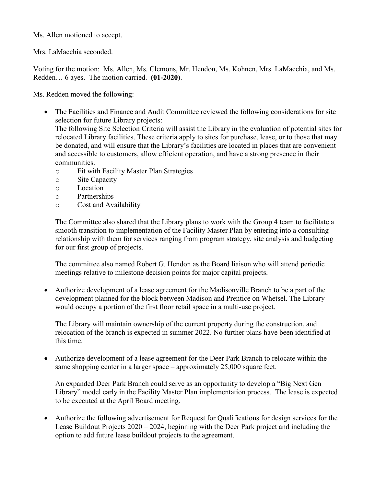Ms. Allen motioned to accept.

Mrs. LaMacchia seconded.

Voting for the motion: Ms. Allen, Ms. Clemons, Mr. Hendon, Ms. Kohnen, Mrs. LaMacchia, and Ms. Redden… 6 ayes. The motion carried. **(01-2020)**.

Ms. Redden moved the following:

- The Facilities and Finance and Audit Committee reviewed the following considerations for site selection for future Library projects: The following Site Selection Criteria will assist the Library in the evaluation of potential sites for relocated Library facilities. These criteria apply to sites for purchase, lease, or to those that may be donated, and will ensure that the Library's facilities are located in places that are convenient and accessible to customers, allow efficient operation, and have a strong presence in their communities.
	- o Fit with Facility Master Plan Strategies
	- o Site Capacity
	- o Location
	- o Partnerships<br>  $\circ$  Cost and Ava
	- Cost and Availability

The Committee also shared that the Library plans to work with the Group 4 team to facilitate a smooth transition to implementation of the Facility Master Plan by entering into a consulting relationship with them for services ranging from program strategy, site analysis and budgeting for our first group of projects.

The committee also named Robert G. Hendon as the Board liaison who will attend periodic meetings relative to milestone decision points for major capital projects.

• Authorize development of a lease agreement for the Madisonville Branch to be a part of the development planned for the block between Madison and Prentice on Whetsel. The Library would occupy a portion of the first floor retail space in a multi-use project.

The Library will maintain ownership of the current property during the construction, and relocation of the branch is expected in summer 2022. No further plans have been identified at this time.

• Authorize development of a lease agreement for the Deer Park Branch to relocate within the same shopping center in a larger space – approximately 25,000 square feet.

An expanded Deer Park Branch could serve as an opportunity to develop a "Big Next Gen Library" model early in the Facility Master Plan implementation process. The lease is expected to be executed at the April Board meeting.

• Authorize the following advertisement for Request for Qualifications for design services for the Lease Buildout Projects 2020 – 2024, beginning with the Deer Park project and including the option to add future lease buildout projects to the agreement.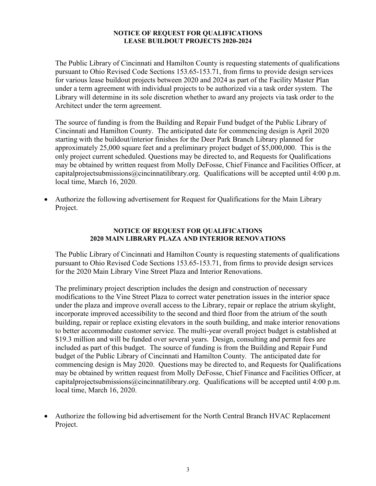#### **NOTICE OF REQUEST FOR QUALIFICATIONS LEASE BUILDOUT PROJECTS 2020-2024**

The Public Library of Cincinnati and Hamilton County is requesting statements of qualifications pursuant to Ohio Revised Code Sections 153.65-153.71, from firms to provide design services for various lease buildout projects between 2020 and 2024 as part of the Facility Master Plan under a term agreement with individual projects to be authorized via a task order system. The Library will determine in its sole discretion whether to award any projects via task order to the Architect under the term agreement.

The source of funding is from the Building and Repair Fund budget of the Public Library of Cincinnati and Hamilton County. The anticipated date for commencing design is April 2020 starting with the buildout/interior finishes for the Deer Park Branch Library planned for approximately 25,000 square feet and a preliminary project budget of \$5,000,000. This is the only project current scheduled. Questions may be directed to, and Requests for Qualifications may be obtained by written request from Molly DeFosse, Chief Finance and Facilities Officer, at capital projects ubmissions  $(a)$  cincinnatilibrary.org. Qualifications will be accepted until 4:00 p.m. local time, March 16, 2020.

• Authorize the following advertisement for Request for Qualifications for the Main Library Project.

#### **NOTICE OF REQUEST FOR QUALIFICATIONS 2020 MAIN LIBRARY PLAZA AND INTERIOR RENOVATIONS**

The Public Library of Cincinnati and Hamilton County is requesting statements of qualifications pursuant to Ohio Revised Code Sections 153.65-153.71, from firms to provide design services for the 2020 Main Library Vine Street Plaza and Interior Renovations.

The preliminary project description includes the design and construction of necessary modifications to the Vine Street Plaza to correct water penetration issues in the interior space under the plaza and improve overall access to the Library, repair or replace the atrium skylight, incorporate improved accessibility to the second and third floor from the atrium of the south building, repair or replace existing elevators in the south building, and make interior renovations to better accommodate customer service. The multi-year overall project budget is established at \$19.3 million and will be funded over several years. Design, consulting and permit fees are included as part of this budget. The source of funding is from the Building and Repair Fund budget of the Public Library of Cincinnati and Hamilton County. The anticipated date for commencing design is May 2020. Questions may be directed to, and Requests for Qualifications may be obtained by written request from Molly DeFosse, Chief Finance and Facilities Officer, at capitalprojectsubmissions@cincinnatilibrary.org. Qualifications will be accepted until 4:00 p.m. local time, March 16, 2020.

• Authorize the following bid advertisement for the North Central Branch HVAC Replacement Project.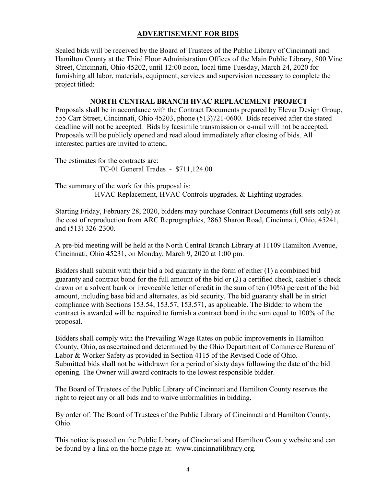### **ADVERTISEMENT FOR BIDS**

Sealed bids will be received by the Board of Trustees of the Public Library of Cincinnati and Hamilton County at the Third Floor Administration Offices of the Main Public Library, 800 Vine Street, Cincinnati, Ohio 45202, until 12:00 noon, local time Tuesday, March 24, 2020 for furnishing all labor, materials, equipment, services and supervision necessary to complete the project titled:

### **NORTH CENTRAL BRANCH HVAC REPLACEMENT PROJECT**

Proposals shall be in accordance with the Contract Documents prepared by Elevar Design Group, 555 Carr Street, Cincinnati, Ohio 45203, phone (513)721-0600. Bids received after the stated deadline will not be accepted. Bids by facsimile transmission or e-mail will not be accepted. Proposals will be publicly opened and read aloud immediately after closing of bids. All interested parties are invited to attend.

The estimates for the contracts are: TC-01 General Trades - \$711,124.00

The summary of the work for this proposal is: HVAC Replacement, HVAC Controls upgrades, & Lighting upgrades.

Starting Friday, February 28, 2020, bidders may purchase Contract Documents (full sets only) at the cost of reproduction from ARC Reprographics, 2863 Sharon Road, Cincinnati, Ohio, 45241, and (513) 326-2300.

A pre-bid meeting will be held at the North Central Branch Library at 11109 Hamilton Avenue, Cincinnati, Ohio 45231, on Monday, March 9, 2020 at 1:00 pm.

Bidders shall submit with their bid a bid guaranty in the form of either (1) a combined bid guaranty and contract bond for the full amount of the bid or (2) a certified check, cashier's check drawn on a solvent bank or irrevocable letter of credit in the sum of ten (10%) percent of the bid amount, including base bid and alternates, as bid security. The bid guaranty shall be in strict compliance with Sections 153.54, 153.57, 153.571, as applicable. The Bidder to whom the contract is awarded will be required to furnish a contract bond in the sum equal to 100% of the proposal.

Bidders shall comply with the Prevailing Wage Rates on public improvements in Hamilton County, Ohio, as ascertained and determined by the Ohio Department of Commerce Bureau of Labor & Worker Safety as provided in Section 4115 of the Revised Code of Ohio. Submitted bids shall not be withdrawn for a period of sixty days following the date of the bid opening. The Owner will award contracts to the lowest responsible bidder.

The Board of Trustees of the Public Library of Cincinnati and Hamilton County reserves the right to reject any or all bids and to waive informalities in bidding.

By order of: The Board of Trustees of the Public Library of Cincinnati and Hamilton County, Ohio.

This notice is posted on the Public Library of Cincinnati and Hamilton County website and can be found by a link on the home page at: www.cincinnatilibrary.org.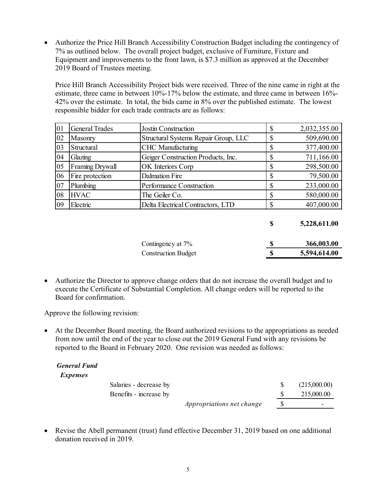• Authorize the Price Hill Branch Accessibility Construction Budget including the contingency of 7% as outlined below. The overall project budget, exclusive of Furniture, Fixture and Equipment and improvements to the front lawn, is \$7.3 million as approved at the December 2019 Board of Trustees meeting.

Price Hill Branch Accessibility Project bids were received. Three of the nine came in right at the estimate, three came in between 10%-17% below the estimate, and three came in between 16%- 42% over the estimate. In total, the bids came in 8% over the published estimate. The lowest responsible bidder for each trade contracts are as follows:

| 01 | <b>General Trades</b>  | <b>Jostin Construction</b>           | \$<br>2,032,355.00 |
|----|------------------------|--------------------------------------|--------------------|
| 02 | Masonry                | Structural Systems Repair Group, LLC | \$<br>509,690.00   |
| 03 | Structural             | <b>CHC</b> Manufacturing             | \$<br>377,400.00   |
| 04 | Glazing                | Geiger Construction Products, Inc.   | \$<br>711,166.00   |
| 05 | <b>Framing Drywall</b> | OK Interiors Corp                    | \$<br>298,500.00   |
| 06 | Fire protection        | Dalmation Fire                       | \$<br>79,500.00    |
| 07 | Plumbing               | Performance Construction             | \$<br>233,000.00   |
| 08 | <b>HVAC</b>            | The Geiler Co.                       | \$<br>580,000.00   |
| 09 | Electric               | Delta Electrical Contractors, LTD    | \$<br>407,000.00   |
|    |                        |                                      |                    |

**\$ 5,228,611.00**

| Contingency at 7%          | 366,003.00   |
|----------------------------|--------------|
| <b>Construction Budget</b> | 5,594,614.00 |

• Authorize the Director to approve change orders that do not increase the overall budget and to execute the Certificate of Substantial Completion. All change orders will be reported to the Board for confirmation.

Approve the following revision:

• At the December Board meeting, the Board authorized revisions to the appropriations as needed from now until the end of the year to close out the 2019 General Fund with any revisions be reported to the Board in February 2020. One revision was needed as follows:

#### *General Fund Expenses*

Salaries - decrease by  $$ (215,000.00)$ Benefits - increase by \$ 215,000.00 *Appropriations net change* \$ -

• Revise the Abell permanent (trust) fund effective December 31, 2019 based on one additional donation received in 2019.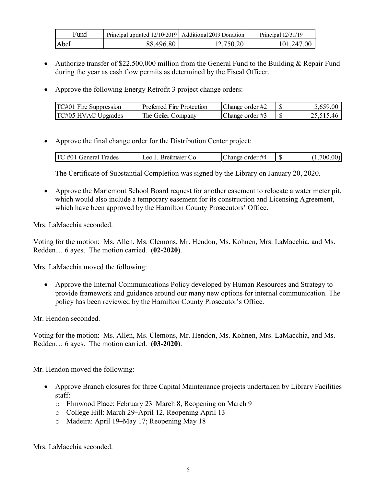| Fund    | Principal updated 12/10/2019   Additional 2019 Donation |                          | Principal $12/31/19$ |  |
|---------|---------------------------------------------------------|--------------------------|----------------------|--|
| 1 Abell | 6.80<br>496                                             | 750.20.<br>12.7<br>70.20 | $.00\,$<br>147       |  |

- Authorize transfer of \$22,500,000 million from the General Fund to the Building & Repair Fund during the year as cash flow permits as determined by the Fiscal Officer.
- Approve the following Energy Retrofit 3 project change orders:

| TC#01<br>Fire Suppression | Preferred Fire Protection | Change order $#2$  | ۔ 659.00. ر |
|---------------------------|---------------------------|--------------------|-------------|
| TC#05 HVAC<br>Upgrades    | The Geiler Company        | Change order $\#3$ |             |

• Approve the final change order for the Distribution Center project:

| i rades<br>$\Delta$<br>112222222<br><b>Tener</b> <sup>o</sup><br>.<br>amare<br>י ור<br>. ب | order<br>#/1<br>- -- -- -<br>.noe | ۰D | $\sim$ $\sim$ |
|--------------------------------------------------------------------------------------------|-----------------------------------|----|---------------|
|--------------------------------------------------------------------------------------------|-----------------------------------|----|---------------|

The Certificate of Substantial Completion was signed by the Library on January 20, 2020.

• Approve the Mariemont School Board request for another easement to relocate a water meter pit, which would also include a temporary easement for its construction and Licensing Agreement, which have been approved by the Hamilton County Prosecutors' Office.

Mrs. LaMacchia seconded.

Voting for the motion: Ms. Allen, Ms. Clemons, Mr. Hendon, Ms. Kohnen, Mrs. LaMacchia, and Ms. Redden… 6 ayes. The motion carried. **(02-2020)**.

Mrs. LaMacchia moved the following:

• Approve the Internal Communications Policy developed by Human Resources and Strategy to provide framework and guidance around our many new options for internal communication. The policy has been reviewed by the Hamilton County Prosecutor's Office.

Mr. Hendon seconded.

Voting for the motion: Ms. Allen, Ms. Clemons, Mr. Hendon, Ms. Kohnen, Mrs. LaMacchia, and Ms. Redden… 6 ayes. The motion carried. **(03-2020)**.

Mr. Hendon moved the following:

- Approve Branch closures for three Capital Maintenance projects undertaken by Library Facilities staff:
	- o Elmwood Place: February 23–March 8, Reopening on March 9
	- o College Hill: March 29–April 12, Reopening April 13
	- o Madeira: April 19–May 17; Reopening May 18

Mrs. LaMacchia seconded.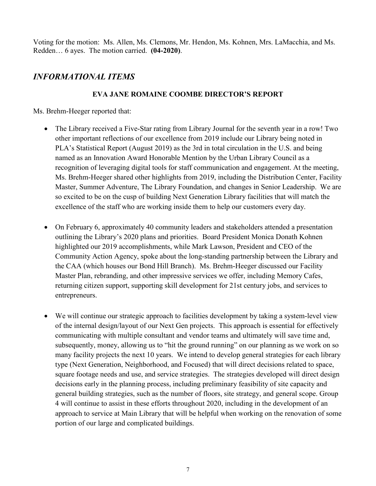Voting for the motion: Ms. Allen, Ms. Clemons, Mr. Hendon, Ms. Kohnen, Mrs. LaMacchia, and Ms. Redden… 6 ayes. The motion carried. **(04-2020)**.

# *INFORMATIONAL ITEMS*

# **EVA JANE ROMAINE COOMBE DIRECTOR'S REPORT**

Ms. Brehm-Heeger reported that:

- The Library received a Five-Star rating from Library Journal for the seventh year in a row! Two other important reflections of our excellence from 2019 include our Library being noted in PLA's Statistical Report (August 2019) as the 3rd in total circulation in the U.S. and being named as an Innovation Award Honorable Mention by the Urban Library Council as a recognition of leveraging digital tools for staff communication and engagement. At the meeting, Ms. Brehm-Heeger shared other highlights from 2019, including the Distribution Center, Facility Master, Summer Adventure, The Library Foundation, and changes in Senior Leadership. We are so excited to be on the cusp of building Next Generation Library facilities that will match the excellence of the staff who are working inside them to help our customers every day.
- On February 6, approximately 40 community leaders and stakeholders attended a presentation outlining the Library's 2020 plans and priorities. Board President Monica Donath Kohnen highlighted our 2019 accomplishments, while Mark Lawson, President and CEO of the Community Action Agency, spoke about the long-standing partnership between the Library and the CAA (which houses our Bond Hill Branch). Ms. Brehm-Heeger discussed our Facility Master Plan, rebranding, and other impressive services we offer, including Memory Cafes, returning citizen support, supporting skill development for 21st century jobs, and services to entrepreneurs.
- We will continue our strategic approach to facilities development by taking a system-level view of the internal design/layout of our Next Gen projects. This approach is essential for effectively communicating with multiple consultant and vendor teams and ultimately will save time and, subsequently, money, allowing us to "hit the ground running" on our planning as we work on so many facility projects the next 10 years. We intend to develop general strategies for each library type (Next Generation, Neighborhood, and Focused) that will direct decisions related to space, square footage needs and use, and service strategies. The strategies developed will direct design decisions early in the planning process, including preliminary feasibility of site capacity and general building strategies, such as the number of floors, site strategy, and general scope. Group 4 will continue to assist in these efforts throughout 2020, including in the development of an approach to service at Main Library that will be helpful when working on the renovation of some portion of our large and complicated buildings.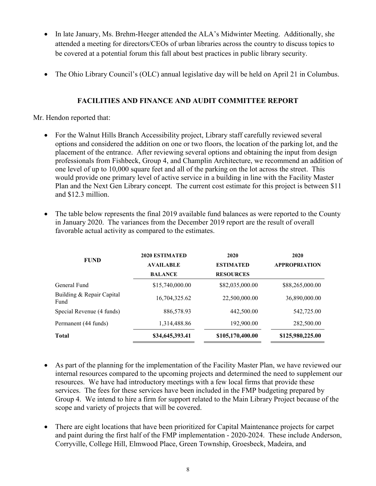- In late January, Ms. Brehm-Heeger attended the ALA's Midwinter Meeting. Additionally, she attended a meeting for directors/CEOs of urban libraries across the country to discuss topics to be covered at a potential forum this fall about best practices in public library security.
- The Ohio Library Council's (OLC) annual legislative day will be held on April 21 in Columbus.

# **FACILITIES AND FINANCE AND AUDIT COMMITTEE REPORT**

Mr. Hendon reported that:

- For the Walnut Hills Branch Accessibility project, Library staff carefully reviewed several options and considered the addition on one or two floors, the location of the parking lot, and the placement of the entrance. After reviewing several options and obtaining the input from design professionals from Fishbeck, Group 4, and Champlin Architecture, we recommend an addition of one level of up to 10,000 square feet and all of the parking on the lot across the street. This would provide one primary level of active service in a building in line with the Facility Master Plan and the Next Gen Library concept. The current cost estimate for this project is between \$11 and \$12.3 million.
- The table below represents the final 2019 available fund balances as were reported to the County in January 2020. The variances from the December 2019 report are the result of overall favorable actual activity as compared to the estimates.

| <b>FUND</b>                       | <b>2020 ESTIMATED</b> | 2020             | 2020                 |
|-----------------------------------|-----------------------|------------------|----------------------|
|                                   | <b>AVAILABLE</b>      | <b>ESTIMATED</b> | <b>APPROPRIATION</b> |
|                                   | <b>BALANCE</b>        | <b>RESOURCES</b> |                      |
| General Fund                      | \$15,740,000.00       | \$82,035,000.00  | \$88,265,000.00      |
| Building & Repair Capital<br>Fund | 16,704,325.62         | 22,500,000.00    | 36,890,000.00        |
| Special Revenue (4 funds)         | 886,578.93            | 442,500.00       | 542,725.00           |
| Permanent (44 funds)              | 1,314,488.86          | 192,900.00       | 282,500.00           |
| <b>Total</b>                      | \$34,645,393.41       | \$105,170,400.00 | \$125,980,225.00     |

- As part of the planning for the implementation of the Facility Master Plan, we have reviewed our internal resources compared to the upcoming projects and determined the need to supplement our resources. We have had introductory meetings with a few local firms that provide these services. The fees for these services have been included in the FMP budgeting prepared by Group 4. We intend to hire a firm for support related to the Main Library Project because of the scope and variety of projects that will be covered.
- There are eight locations that have been prioritized for Capital Maintenance projects for carpet and paint during the first half of the FMP implementation - 2020-2024. These include Anderson, Corryville, College Hill, Elmwood Place, Green Township, Groesbeck, Madeira, and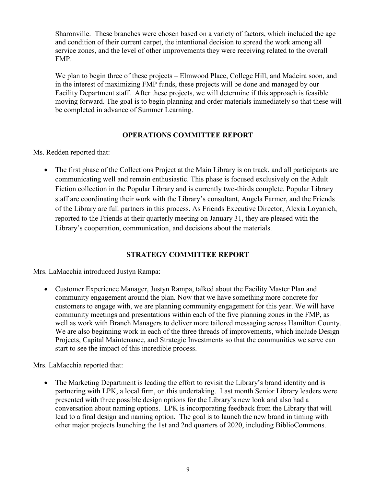Sharonville. These branches were chosen based on a variety of factors, which included the age and condition of their current carpet, the intentional decision to spread the work among all service zones, and the level of other improvements they were receiving related to the overall FMP.

We plan to begin three of these projects – Elmwood Place, College Hill, and Madeira soon, and in the interest of maximizing FMP funds, these projects will be done and managed by our Facility Department staff. After these projects, we will determine if this approach is feasible moving forward. The goal is to begin planning and order materials immediately so that these will be completed in advance of Summer Learning.

### **OPERATIONS COMMITTEE REPORT**

Ms. Redden reported that:

• The first phase of the Collections Project at the Main Library is on track, and all participants are communicating well and remain enthusiastic. This phase is focused exclusively on the Adult Fiction collection in the Popular Library and is currently two-thirds complete. Popular Library staff are coordinating their work with the Library's consultant, Angela Farmer, and the Friends of the Library are full partners in this process. As Friends Executive Director, Alexia Loyanich, reported to the Friends at their quarterly meeting on January 31, they are pleased with the Library's cooperation, communication, and decisions about the materials.

# **STRATEGY COMMITTEE REPORT**

Mrs. LaMacchia introduced Justyn Rampa:

• Customer Experience Manager, Justyn Rampa, talked about the Facility Master Plan and community engagement around the plan. Now that we have something more concrete for customers to engage with, we are planning community engagement for this year. We will have community meetings and presentations within each of the five planning zones in the FMP, as well as work with Branch Managers to deliver more tailored messaging across Hamilton County. We are also beginning work in each of the three threads of improvements, which include Design Projects, Capital Maintenance, and Strategic Investments so that the communities we serve can start to see the impact of this incredible process.

Mrs. LaMacchia reported that:

• The Marketing Department is leading the effort to revisit the Library's brand identity and is partnering with LPK, a local firm, on this undertaking. Last month Senior Library leaders were presented with three possible design options for the Library's new look and also had a conversation about naming options. LPK is incorporating feedback from the Library that will lead to a final design and naming option. The goal is to launch the new brand in timing with other major projects launching the 1st and 2nd quarters of 2020, including BiblioCommons.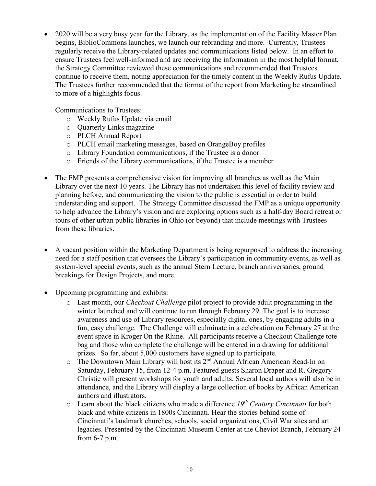• 2020 will be a very busy year for the Library, as the implementation of the Facility Master Plan begins, BiblioCommons launches, we launch our rebranding and more. Currently, Trustees regularly receive the Library-related updates and communications listed below. In an effort to ensure Trustees feel well-informed and are receiving the information in the most helpful format, the Strategy Committee reviewed these communications and recommended that Trustees continue to receive them, noting appreciation for the timely content in the Weekly Rufus Update. The Trustees further recommended that the format of the report from Marketing be streamlined to more of a highlights focus.

Communications to Trustees:

- o Weekly Rufus Update via email
- o Quarterly Links magazine
- o PLCH Annual Report
- o PLCH email marketing messages, based on OrangeBoy profiles
- o Library Foundation communications, if the Trustee is a donor
- o Friends of the Library communications, if the Trustee is a member
- The FMP presents a comprehensive vision for improving all branches as well as the Main Library over the next 10 years. The Library has not undertaken this level of facility review and planning before, and communicating the vision to the public is essential in order to build understanding and support. The Strategy Committee discussed the FMP as a unique opportunity to help advance the Library's vision and are exploring options such as a half-day Board retreat or tours of other urban public libraries in Ohio (or beyond) that include meetings with Trustees from these libraries.
- A vacant position within the Marketing Department is being repurposed to address the increasing need for a staff position that oversees the Library's participation in community events, as well as system-level special events, such as the annual Stern Lecture, branch anniversaries, ground breakings for Design Projects, and more.
- Upcoming programming and exhibits:
	- o Last month, our *Checkout Challenge* pilot project to provide adult programming in the winter launched and will continue to run through February 29. The goal is to increase awareness and use of Library resources, especially digital ones, by engaging adults in a fun, easy challenge. The Challenge will culminate in a celebration on February 27 at the event space in Kroger On the Rhine. All participants receive a Checkout Challenge tote bag and those who complete the challenge will be entered in a drawing for additional prizes. So far, about 5,000 customers have signed up to participate.
	- o The Downtown Main Library will host its 2nd Annual African American Read-In on Saturday, February 15, from 12-4 p.m. Featured guests Sharon Draper and R. Gregory Christie will present workshops for youth and adults. Several local authors will also be in attendance, and the Library will display a large collection of books by African American authors and illustrators.
	- o Learn about the black citizens who made a difference *19th Century Cincinnati* for both black and white citizens in 1800s Cincinnati. Hear the stories behind some of Cincinnati's landmark churches, schools, social organizations, Civil War sites and art legacies. Presented by the Cincinnati Museum Center at the Cheviot Branch, February 24 from 6-7 p.m.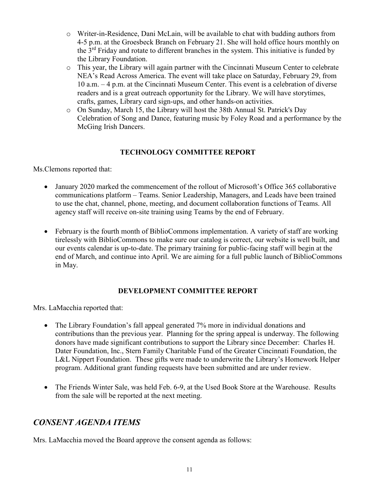- o Writer-in-Residence, Dani McLain, will be available to chat with budding authors from 4-5 p.m. at the Groesbeck Branch on February 21. She will hold office hours monthly on the  $3<sup>rd</sup>$  Friday and rotate to different branches in the system. This initiative is funded by the Library Foundation.
- o This year, the Library will again partner with the Cincinnati Museum Center to celebrate NEA's Read Across America. The event will take place on Saturday, February 29, from 10 a.m. – 4 p.m. at the Cincinnati Museum Center. This event is a celebration of diverse readers and is a great outreach opportunity for the Library. We will have storytimes, crafts, games, Library card sign-ups, and other hands-on activities.
- o On Sunday, March 15, the Library will host the 38th Annual St. Patrick's Day Celebration of Song and Dance, featuring music by Foley Road and a performance by the McGing Irish Dancers.

# **TECHNOLOGY COMMITTEE REPORT**

Ms.Clemons reported that:

- January 2020 marked the commencement of the rollout of Microsoft's Office 365 collaborative communications platform – Teams. Senior Leadership, Managers, and Leads have been trained to use the chat, channel, phone, meeting, and document collaboration functions of Teams. All agency staff will receive on-site training using Teams by the end of February.
- February is the fourth month of BiblioCommons implementation. A variety of staff are working tirelessly with BiblioCommons to make sure our catalog is correct, our website is well built, and our events calendar is up-to-date. The primary training for public-facing staff will begin at the end of March, and continue into April. We are aiming for a full public launch of BiblioCommons in May.

### **DEVELOPMENT COMMITTEE REPORT**

Mrs. LaMacchia reported that:

- The Library Foundation's fall appeal generated 7% more in individual donations and contributions than the previous year. Planning for the spring appeal is underway. The following donors have made significant contributions to support the Library since December: Charles H. Dater Foundation, Inc., Stern Family Charitable Fund of the Greater Cincinnati Foundation, the L&L Nippert Foundation. These gifts were made to underwrite the Library's Homework Helper program. Additional grant funding requests have been submitted and are under review.
- The Friends Winter Sale, was held Feb. 6-9, at the Used Book Store at the Warehouse. Results from the sale will be reported at the next meeting.

# *CONSENT AGENDA ITEMS*

Mrs. LaMacchia moved the Board approve the consent agenda as follows: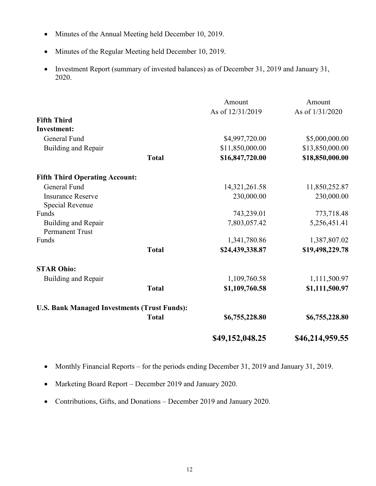- Minutes of the Annual Meeting held December 10, 2019.
- Minutes of the Regular Meeting held December 10, 2019.
- Investment Report (summary of invested balances) as of December 31, 2019 and January 31, 2020.

|                                                     |              | Amount           | Amount          |
|-----------------------------------------------------|--------------|------------------|-----------------|
|                                                     |              | As of 12/31/2019 | As of 1/31/2020 |
| <b>Fifth Third</b>                                  |              |                  |                 |
| <b>Investment:</b>                                  |              |                  |                 |
| General Fund                                        |              | \$4,997,720.00   | \$5,000,000.00  |
| Building and Repair                                 |              | \$11,850,000.00  | \$13,850,000.00 |
|                                                     | <b>Total</b> | \$16,847,720.00  | \$18,850,000.00 |
| <b>Fifth Third Operating Account:</b>               |              |                  |                 |
| General Fund                                        |              | 14,321,261.58    | 11,850,252.87   |
| <b>Insurance Reserve</b>                            |              | 230,000.00       | 230,000.00      |
| Special Revenue                                     |              |                  |                 |
| Funds                                               |              | 743,239.01       | 773,718.48      |
| Building and Repair<br><b>Permanent Trust</b>       |              | 7,803,057.42     | 5,256,451.41    |
| Funds                                               |              | 1,341,780.86     | 1,387,807.02    |
|                                                     | <b>Total</b> | \$24,439,338.87  | \$19,498,229.78 |
| <b>STAR Ohio:</b>                                   |              |                  |                 |
| Building and Repair                                 |              | 1,109,760.58     | 1,111,500.97    |
|                                                     | <b>Total</b> | \$1,109,760.58   | \$1,111,500.97  |
| <b>U.S. Bank Managed Investments (Trust Funds):</b> |              |                  |                 |
|                                                     | <b>Total</b> | \$6,755,228.80   | \$6,755,228.80  |
|                                                     |              | \$49,152,048.25  | \$46,214,959.55 |

- Monthly Financial Reports for the periods ending December 31, 2019 and January 31, 2019.
- Marketing Board Report December 2019 and January 2020.
- Contributions, Gifts, and Donations December 2019 and January 2020.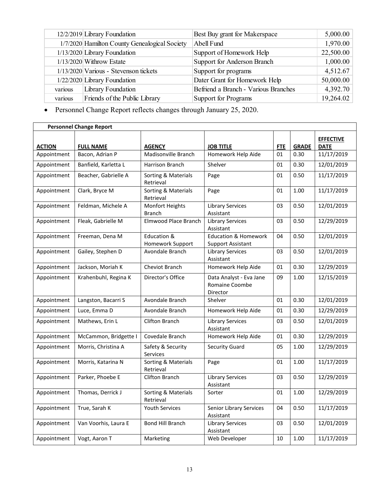|         | 12/2/2019 Library Foundation                  | Best Buy grant for Makerspace        | 5,000.00  |
|---------|-----------------------------------------------|--------------------------------------|-----------|
|         | 1/7/2020 Hamilton County Genealogical Society | Abell Fund                           | 1,970.00  |
|         | 1/13/2020 Library Foundation                  | Support of Homework Help             | 22,500.00 |
|         | $1/13/2020$ Withrow Estate                    | Support for Anderson Branch          | 1,000.00  |
|         | 1/13/2020 Various - Stevenson tickets         | Support for programs                 | 4,512.67  |
|         | 1/22/2020 Library Foundation                  | Dater Grant for Homework Help        | 50,000.00 |
| various | Library Foundation                            | Befriend a Branch - Various Branches | 4,392.70  |
| various | Friends of the Public Library                 | Support for Programs                 | 19,264.02 |

• Personnel Change Report reflects changes through January 25, 2020.

|               | <b>Personnel Change Report</b> |                                  |                                                             |            |              |                                 |  |  |
|---------------|--------------------------------|----------------------------------|-------------------------------------------------------------|------------|--------------|---------------------------------|--|--|
| <b>ACTION</b> | <b>FULL NAME</b>               | <b>AGENCY</b>                    | <b>JOB TITLE</b>                                            | <b>FTE</b> | <b>GRADE</b> | <b>EFFECTIVE</b><br><b>DATE</b> |  |  |
| Appointment   | Bacon, Adrian P                | Madisonville Branch              | Homework Help Aide                                          | 01         | 0.30         | 11/17/2019                      |  |  |
| Appointment   | Banfield, Karletta L           | Harrison Branch                  | Shelver                                                     | 01         | 0.30         | 12/01/2019                      |  |  |
| Appointment   | Beacher, Gabrielle A           | Sorting & Materials<br>Retrieval | Page                                                        | 01         | 0.50         | 11/17/2019                      |  |  |
| Appointment   | Clark, Bryce M                 | Sorting & Materials<br>Retrieval | Page                                                        | 01         | 1.00         | 11/17/2019                      |  |  |
| Appointment   | Feldman, Michele A             | Monfort Heights<br><b>Branch</b> | <b>Library Services</b><br>Assistant                        | 03         | 0.50         | 12/01/2019                      |  |  |
| Appointment   | Fleak, Gabrielle M             | Elmwood Place Branch             | <b>Library Services</b><br>Assistant                        | 03         | 0.50         | 12/29/2019                      |  |  |
| Appointment   | Freeman, Dena M                | Education &<br>Homework Support  | <b>Education &amp; Homework</b><br><b>Support Assistant</b> | 04         | 0.50         | 12/01/2019                      |  |  |
| Appointment   | Gailey, Stephen D              | Avondale Branch                  | <b>Library Services</b><br>Assistant                        | 03         | 0.50         | 12/01/2019                      |  |  |
| Appointment   | Jackson, Moriah K              | Cheviot Branch                   | Homework Help Aide                                          | 01         | 0.30         | 12/29/2019                      |  |  |
| Appointment   | Krahenbuhl, Regina K           | Director's Office                | Data Analyst - Eva Jane<br>Romaine Coombe<br>Director       | 09         | 1.00         | 12/15/2019                      |  |  |
| Appointment   | Langston, Bacarri S            | Avondale Branch                  | Shelver                                                     | 01         | 0.30         | 12/01/2019                      |  |  |
| Appointment   | Luce, Emma D                   | Avondale Branch                  | Homework Help Aide                                          | 01         | 0.30         | 12/29/2019                      |  |  |
| Appointment   | Mathews, Erin L                | <b>Clifton Branch</b>            | <b>Library Services</b><br>Assistant                        | 03         | 0.50         | 12/01/2019                      |  |  |
| Appointment   | McCammon, Bridgette I          | Covedale Branch                  | Homework Help Aide                                          | 01         | 0.30         | 12/29/2019                      |  |  |
| Appointment   | Morris, Christina A            | Safety & Security<br>Services    | <b>Security Guard</b>                                       | 05         | 1.00         | 12/29/2019                      |  |  |
| Appointment   | Morris, Katarina N             | Sorting & Materials<br>Retrieval | Page                                                        | 01         | 1.00         | 11/17/2019                      |  |  |
| Appointment   | Parker, Phoebe E               | <b>Clifton Branch</b>            | <b>Library Services</b><br>Assistant                        | 03         | 0.50         | 12/29/2019                      |  |  |
| Appointment   | Thomas, Derrick J              | Sorting & Materials<br>Retrieval | Sorter                                                      | 01         | 1.00         | 12/29/2019                      |  |  |
| Appointment   | True, Sarah K                  | <b>Youth Services</b>            | <b>Senior Library Services</b><br>Assistant                 | 04         | 0.50         | 11/17/2019                      |  |  |
| Appointment   | Van Voorhis, Laura E           | <b>Bond Hill Branch</b>          | <b>Library Services</b><br>Assistant                        | 03         | 0.50         | 12/01/2019                      |  |  |
| Appointment   | Vogt, Aaron T                  | Marketing                        | Web Developer                                               | 10         | 1.00         | 11/17/2019                      |  |  |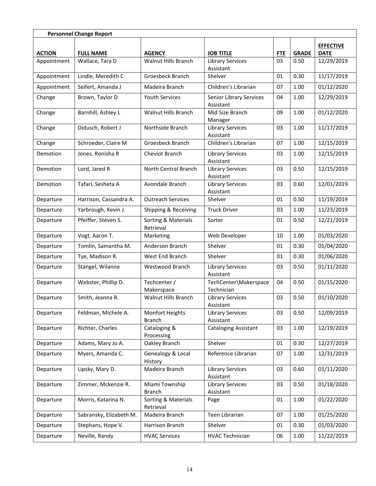| <b>Personnel Change Report</b> |                         |                                  |                                      |            |              |                                 |  |
|--------------------------------|-------------------------|----------------------------------|--------------------------------------|------------|--------------|---------------------------------|--|
| <b>ACTION</b>                  | <b>FULL NAME</b>        | <b>AGENCY</b>                    | <b>JOB TITLE</b>                     | <b>FTE</b> | <b>GRADE</b> | <b>EFFECTIVE</b><br><b>DATE</b> |  |
| Appointment                    | Wallace, Tara D         | <b>Walnut Hills Branch</b>       | <b>Library Services</b><br>Assistant | 03         | 0.50         | 12/29/2019                      |  |
| Appointment                    | Lindle, Meredith C      | Groesbeck Branch                 | Shelver                              | 01         | 0.30         | 11/17/2019                      |  |
| Appointment                    | Seifert, Amanda J       | Madeira Branch                   | Children's Librarian                 | 07         | 1.00         | 01/12/2020                      |  |
| Change                         | Brown, Taylor D         | <b>Youth Services</b>            | Senior Library Services<br>Assistant | 04         | 1.00         | 12/29/2019                      |  |
| Change                         | Barnhill, Ashley L      | <b>Walnut Hills Branch</b>       | Mid Size Branch<br>Manager           | 09         | 1.00         | 01/12/2020                      |  |
| Change                         | Didusch, Robert J       | Northside Branch                 | <b>Library Services</b><br>Assistant | 03         | 1.00         | 11/17/2019                      |  |
| Change                         | Schroeder, Claire M     | Groesbeck Branch                 | Children's Librarian                 | 07         | 1.00         | 12/15/2019                      |  |
| Demotion                       | Jones, Ronisha R        | <b>Cheviot Branch</b>            | <b>Library Services</b><br>Assistant | 03         | 1.00         | 12/15/2019                      |  |
| Demotion                       | Lord, Jared R           | North Central Branch             | <b>Library Services</b><br>Assistant | 03         | 0.50         | 12/15/2019                      |  |
| Demotion                       | Tafari, Sesheta A       | Avondale Branch                  | <b>Library Services</b><br>Assistant | 03         | 0.60         | 12/01/2019                      |  |
| Departure                      | Harrison, Cassandra A.  | <b>Outreach Services</b>         | Shelver                              | 01         | 0.50         | 11/19/2019                      |  |
| Departure                      | Yarbrough, Kevin J.     | Shipping & Receiving             | <b>Truck Driver</b>                  | 03         | 1.00         | 11/23/2019                      |  |
| Departure                      | Pfeiffer, Steven S.     | Sorting & Materials<br>Retrieval | Sorter                               | 01         | 0.50         | 12/21/2019                      |  |
| Departure                      | Vogt, Aaron T.          | Marketing                        | Web Developer                        | 10         | 1.00         | 01/03/2020                      |  |
| Departure                      | Tomlin, Samantha M.     | Anderson Branch                  | Shelver                              | 01         | 0.30         | 01/04/2020                      |  |
| Departure                      | Tye, Madison R.         | West End Branch                  | Shelver                              | 01         | 0.30         | 01/06/2020                      |  |
| Departure                      | Stangel, Wilanne        | Westwood Branch                  | <b>Library Services</b><br>Assistant | 03         | 0.50         | 01/11/2020                      |  |
| Departure                      | Webster, Phillip D.     | Techcenter /<br>Makerspace       | TechCenter\Makerspace<br>Technician  | 04         | 0.50         | 01/15/2020                      |  |
| Departure                      | Smith, Jeanna R.        | <b>Walnut Hills Branch</b>       | <b>Library Services</b><br>Assistant | 03         | 0.50         | 01/10/2020                      |  |
| Departure                      | Feldman, Michele A.     | Monfort Heights<br><b>Branch</b> | <b>Library Services</b><br>Assistant | 03         | 0.50         | 12/09/2019                      |  |
| Departure                      | Richter, Charles        | Cataloging &<br>Processing       | <b>Cataloging Assistant</b>          | 03         | 1.00         | 12/19/2019                      |  |
| Departure                      | Adams, Mary Jo A.       | Oakley Branch                    | Shelver                              | 01         | 0.30         | 12/27/2019                      |  |
| Departure                      | Myers, Amanda C.        | Genealogy & Local<br>History     | Reference Librarian                  | 07         | 1.00         | 12/31/2019                      |  |
| Departure                      | Lipsky, Mary D.         | Madeira Branch                   | <b>Library Services</b><br>Assistant | 03         | 0.60         | 01/11/2020                      |  |
| Departure                      | Zimmer, Mckenzie R.     | Miami Township<br><b>Branch</b>  | <b>Library Services</b><br>Assistant | 03         | 0.50         | 01/18/2020                      |  |
| Departure                      | Morris, Katarina N.     | Sorting & Materials<br>Retrieval | Page                                 | 01         | 1.00         | 01/22/2020                      |  |
| Departure                      | Sabransky, Elizabeth M. | Madeira Branch                   | Teen Librarian                       | 07         | 1.00         | 01/25/2020                      |  |
| Departure                      | Stephans, Hope V.       | Harrison Branch                  | Shelver                              | 01         | 0.30         | 01/03/2020                      |  |
| Departure                      | Neville, Randy          | <b>HVAC Services</b>             | <b>HVAC Technician</b>               | 06         | 1.00         | 11/22/2019                      |  |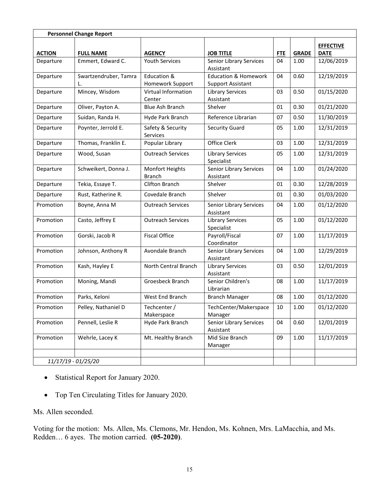| <b>Personnel Change Report</b> |                       |                                      |                                       |            |              |                  |
|--------------------------------|-----------------------|--------------------------------------|---------------------------------------|------------|--------------|------------------|
|                                |                       |                                      |                                       |            |              | <b>EFFECTIVE</b> |
| <b>ACTION</b>                  | <b>FULL NAME</b>      | <b>AGENCY</b>                        | <b>JOB TITLE</b>                      | <b>FTE</b> | <b>GRADE</b> | <b>DATE</b>      |
| Departure                      | Emmert, Edward C.     | <b>Youth Services</b>                | Senior Library Services<br>Assistant  | 04         | 1.00         | 12/06/2019       |
| Departure                      | Swartzendruber, Tamra | Education &                          | <b>Education &amp; Homework</b>       | 04         | 0.60         | 12/19/2019       |
|                                |                       | Homework Support                     | <b>Support Assistant</b>              |            |              |                  |
| Departure                      | Mincey, Wisdom        | <b>Virtual Information</b><br>Center | <b>Library Services</b><br>Assistant  | 03         | 0.50         | 01/15/2020       |
| Departure                      | Oliver, Payton A.     | <b>Blue Ash Branch</b>               | Shelver                               | 01         | 0.30         | 01/21/2020       |
| Departure                      | Suidan, Randa H.      | Hyde Park Branch                     | Reference Librarian                   | 07         | 0.50         | 11/30/2019       |
| Departure                      | Poynter, Jerrold E.   | Safety & Security<br>Services        | Security Guard                        | 05         | 1.00         | 12/31/2019       |
| Departure                      | Thomas, Franklin E.   | Popular Library                      | Office Clerk                          | 03         | 1.00         | 12/31/2019       |
| Departure                      | Wood, Susan           | <b>Outreach Services</b>             | <b>Library Services</b><br>Specialist | 05         | 1.00         | 12/31/2019       |
| Departure                      | Schweikert, Donna J.  | Monfort Heights<br><b>Branch</b>     | Senior Library Services<br>Assistant  | 04         | 1.00         | 01/24/2020       |
| Departure                      | Tekia, Essaye T.      | Clifton Branch                       | Shelver                               | 01         | 0.30         | 12/28/2019       |
| Departure                      | Rust, Katherine R.    | Covedale Branch                      | Shelver                               | 01         | 0.30         | 01/03/2020       |
| Promotion                      | Boyne, Anna M         | <b>Outreach Services</b>             | Senior Library Services<br>Assistant  | 04         | 1.00         | 01/12/2020       |
| Promotion                      | Casto, Jeffrey E      | <b>Outreach Services</b>             | <b>Library Services</b><br>Specialist | 05         | 1.00         | 01/12/2020       |
| Promotion                      | Gorski, Jacob R       | <b>Fiscal Office</b>                 | Payroll/Fiscal<br>Coordinator         | 07         | 1.00         | 11/17/2019       |
| Promotion                      | Johnson, Anthony R    | Avondale Branch                      | Senior Library Services<br>Assistant  | 04         | 1.00         | 12/29/2019       |
| Promotion                      | Kash, Hayley E        | North Central Branch                 | <b>Library Services</b><br>Assistant  | 03         | 0.50         | 12/01/2019       |
| Promotion                      | Moning, Mandi         | Groesbeck Branch                     | Senior Children's<br>Librarian        | 08         | 1.00         | 11/17/2019       |
| Promotion                      | Parks, Keloni         | West End Branch                      | <b>Branch Manager</b>                 | 08         | 1.00         | 01/12/2020       |
| Promotion                      | Pelley, Nathaniel D   | Techcenter /<br>Makerspace           | TechCenter/Makerspace<br>Manager      | 10         | 1.00         | 01/12/2020       |
| Promotion                      | Pennell, Leslie R     | Hyde Park Branch                     | Senior Library Services<br>Assistant  | 04         | 0.60         | 12/01/2019       |
| Promotion                      | Wehrle, Lacey K       | Mt. Healthy Branch                   | Mid Size Branch<br>Manager            | 09         | 1.00         | 11/17/2019       |
|                                | 11/17/19 - 01/25/20   |                                      |                                       |            |              |                  |

- Statistical Report for January 2020.
- Top Ten Circulating Titles for January 2020.

Ms. Allen seconded.

Voting for the motion: Ms. Allen, Ms. Clemons, Mr. Hendon, Ms. Kohnen, Mrs. LaMacchia, and Ms. Redden… 6 ayes. The motion carried. **(05-2020)**.